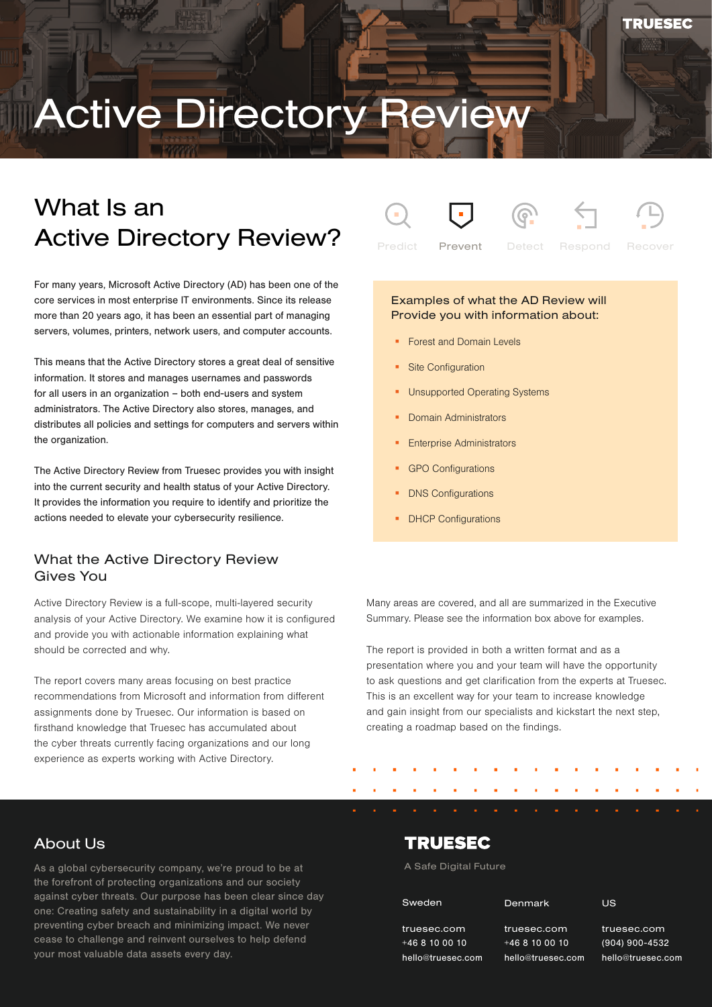# Active Directory Review

# What Is an Active Directory Review?

For many years, Microsoft Active Directory (AD) has been one of the core services in most enterprise IT environments. Since its release more than 20 years ago, it has been an essential part of managing servers, volumes, printers, network users, and computer accounts.

This means that the Active Directory stores a great deal of sensitive information. It stores and manages usernames and passwords for all users in an organization – both end-users and system administrators. The Active Directory also stores, manages, and distributes all policies and settings for computers and servers within the organization.

The Active Directory Review from Truesec provides you with insight into the current security and health status of your Active Directory. It provides the information you require to identify and prioritize the actions needed to elevate your cybersecurity resilience.

### What the Active Directory Review Gives You

Active Directory Review is a full-scope, multi-layered security analysis of your Active Directory. We examine how it is configured and provide you with actionable information explaining what should be corrected and why.

The report covers many areas focusing on best practice recommendations from Microsoft and information from different assignments done by Truesec. Our information is based on firsthand knowledge that Truesec has accumulated about the cyber threats currently facing organizations and our long experience as experts working with Active Directory.





Prevent Detect Respond

#### Examples of what the AD Review will Provide you with information about:

- **Forest and Domain Levels**
- **Site Configuration**
- Unsupported Operating Systems
- Domain Administrators
- Enterprise Administrators
- GPO Configurations
- DNS Configurations
- DHCP Configurations

Many areas are covered, and all are summarized in the Executive Summary. Please see the information box above for examples.

The report is provided in both a written format and as a presentation where you and your team will have the opportunity to ask questions and get clarification from the experts at Truesec. This is an excellent way for your team to increase knowledge and gain insight from our specialists and kickstart the next step, creating a roadmap based on the findings.

### About Us

.<br>cease to challenge and reinvent ourselves to help defend As a global cybersecurity company, we're proud to be at the forefront of protecting organizations and our society against cyber threats. Our purpose has been clear since day one: Creating safety and sustainability in a digital world by preventing cyber breach and minimizing impact. We never your most valuable data assets every day.

### **TRUESEC**

#### A Safe Digital Future

| Sweden                      |
|-----------------------------|
| truesec.com<br>$+468100010$ |

+46 8 10 00 10 hello@truesec.com

truesec.com +46 8 10 00 10 truesec.com

n hello@truesec.com

Denmark

(904) 900-4532 (904) 900-4532 hello@truesec.com truesec.com

US